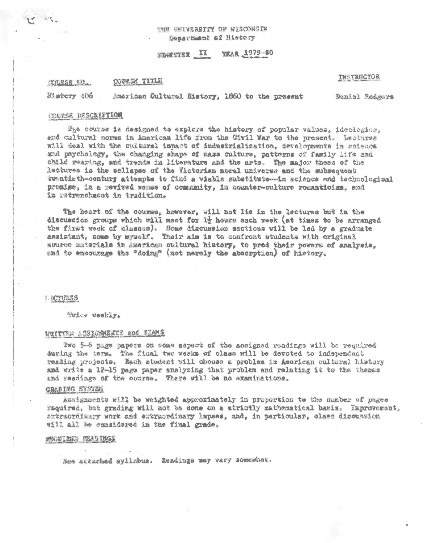# 'NR WHIVERSITY OF WISCONSIN Senarbsent of History

STRUCTER II YEAR 1979-80

#### COURSE TITLE **COURSE AD.**

### *INSTRUCTOR*

Mistery 406 American Cultural History, 1860 to the present Daniel Bodgers

#### INURSE DESCRIPTION

The course is designed to explore the history of popular values, ideologics. and cultural norms in American life from the Civil War to the present. Lectures will deal with the cultural impact of industrialization, developments in soience and psychology, the changing shape of mass culture, patterns of family life and child resring, and trends in literature and the arts. The major theme of the lectures is the collapse of the Victorian moral universe and the subsequent twatisth-century attempts to find a viable substitute--in science and technological premise, in a mevived sense of comunity, in counter-culture romanticism. and iz retrenchment in tradition.

The heart of the course, however, will not lie in the lectures but in the discussion groups which will meet for 1} hours each week (at times to be arranged the first week of classes). Some discussion sections will be led by a graduate assistant, some by mymelf. Their aim is to confront students with original source materials in American oultural history, to prod their powers of analysis. and to encourage the "doing" (not merely the absorption) of history.

#### **J. SCTURRS**

"Wice Weekly.

# WRITTEN ASSIGNMENTS and EXAMS

Two 5-6 page papers on some aspect of the assigned readings will be required during the term. The final two weeks of class will be devoted to independent reading projects. Each student will choose a problem in American cultural history and write a 12-15 page paper snalyzing that problem and relating it to the themas and readings of the course. There will be no examinations.

#### GRADING SYSTEM

Assignments will be weighted approximately in proportion to the number of pages required, but grading will not be done on a strictly mathematical basis. Improvement, extracrdimery work and extracrdimery lapses, and, in particular, class discussion will all be considered in the final grade.

# REDUINED READINGS

Sem ettached sylisbus. Readings may vary somewhat.